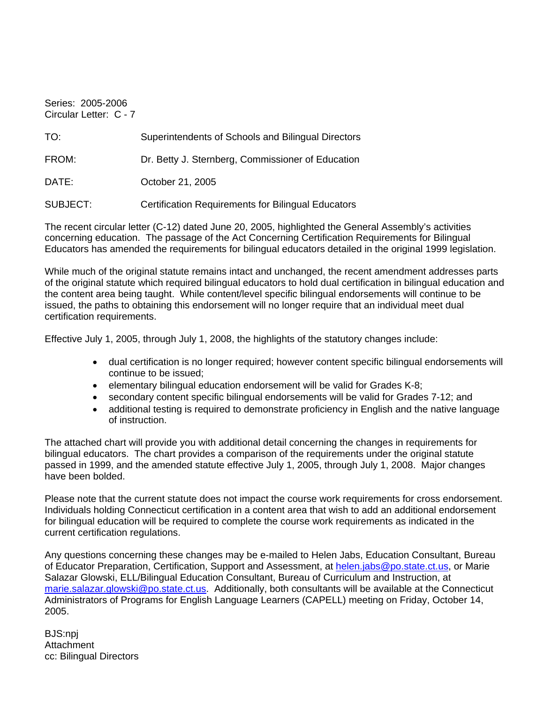Series: 2005-2006 Circular Letter: C - 7

| TO:      | Superintendents of Schools and Bilingual Directors        |
|----------|-----------------------------------------------------------|
| FROM:    | Dr. Betty J. Sternberg, Commissioner of Education         |
| DATE:    | October 21, 2005                                          |
| SUBJECT: | <b>Certification Requirements for Bilingual Educators</b> |

The recent circular letter (C-12) dated June 20, 2005, highlighted the General Assembly's activities concerning education. The passage of the Act Concerning Certification Requirements for Bilingual Educators has amended the requirements for bilingual educators detailed in the original 1999 legislation.

While much of the original statute remains intact and unchanged, the recent amendment addresses parts of the original statute which required bilingual educators to hold dual certification in bilingual education and the content area being taught. While content/level specific bilingual endorsements will continue to be issued, the paths to obtaining this endorsement will no longer require that an individual meet dual certification requirements.

Effective July 1, 2005, through July 1, 2008, the highlights of the statutory changes include:

- dual certification is no longer required; however content specific bilingual endorsements will continue to be issued;
- elementary bilingual education endorsement will be valid for Grades K-8;
- secondary content specific bilingual endorsements will be valid for Grades 7-12; and
- additional testing is required to demonstrate proficiency in English and the native language of instruction.

The attached chart will provide you with additional detail concerning the changes in requirements for bilingual educators. The chart provides a comparison of the requirements under the original statute passed in 1999, and the amended statute effective July 1, 2005, through July 1, 2008. Major changes have been bolded.

Please note that the current statute does not impact the course work requirements for cross endorsement. Individuals holding Connecticut certification in a content area that wish to add an additional endorsement for bilingual education will be required to complete the course work requirements as indicated in the current certification regulations.

Any questions concerning these changes may be e-mailed to Helen Jabs, Education Consultant, Bureau of Educator Preparation, Certification, Support and Assessment, at [helen.jabs@po.state.ct.us,](mailto:helen.jabs@po.state.ct.us) or Marie Salazar Glowski, ELL/Bilingual Education Consultant, Bureau of Curriculum and Instruction, at [marie.salazar.glowski@po.state.ct.us](mailto:marie.salazar.glowski@po.state.ct.us). Additionally, both consultants will be available at the Connecticut Administrators of Programs for English Language Learners (CAPELL) meeting on Friday, October 14, 2005.

BJS:npj **Attachment** cc: Bilingual Directors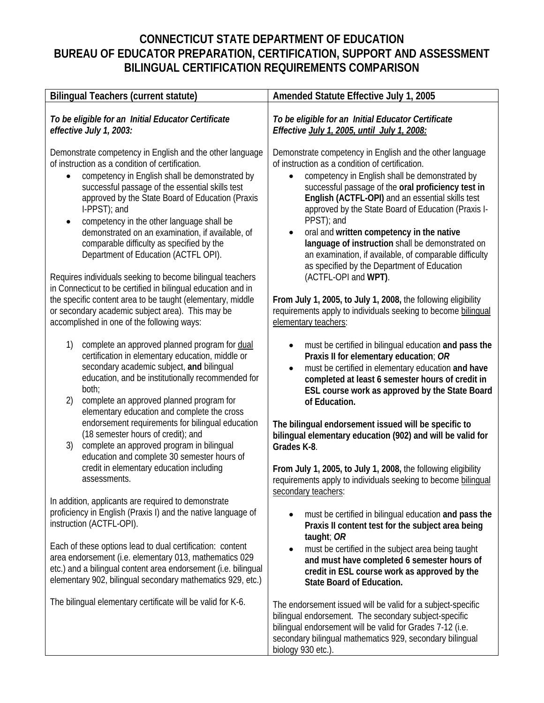## **CONNECTICUT STATE DEPARTMENT OF EDUCATION BUREAU OF EDUCATOR PREPARATION, CERTIFICATION, SUPPORT AND ASSESSMENT BILINGUAL CERTIFICATION REQUIREMENTS COMPARISON**

| <b>Bilingual Teachers (current statute)</b>                                                                                                                                                                                                                                                                                                                                                                                                                                                                                                          | Amended Statute Effective July 1, 2005                                                                                                                                                                                                                                                                                                                                                                                                                                                                                                                                                                   |
|------------------------------------------------------------------------------------------------------------------------------------------------------------------------------------------------------------------------------------------------------------------------------------------------------------------------------------------------------------------------------------------------------------------------------------------------------------------------------------------------------------------------------------------------------|----------------------------------------------------------------------------------------------------------------------------------------------------------------------------------------------------------------------------------------------------------------------------------------------------------------------------------------------------------------------------------------------------------------------------------------------------------------------------------------------------------------------------------------------------------------------------------------------------------|
| To be eligible for an Initial Educator Certificate<br>effective July 1, 2003:                                                                                                                                                                                                                                                                                                                                                                                                                                                                        | To be eligible for an Initial Educator Certificate<br>Effective July 1, 2005, until July 1, 2008:                                                                                                                                                                                                                                                                                                                                                                                                                                                                                                        |
| Demonstrate competency in English and the other language<br>of instruction as a condition of certification.<br>competency in English shall be demonstrated by<br>successful passage of the essential skills test<br>approved by the State Board of Education (Praxis<br>I-PPST); and<br>competency in the other language shall be<br>$\bullet$<br>demonstrated on an examination, if available, of<br>comparable difficulty as specified by the<br>Department of Education (ACTFL OPI).<br>Requires individuals seeking to become bilingual teachers | Demonstrate competency in English and the other language<br>of instruction as a condition of certification.<br>competency in English shall be demonstrated by<br>$\bullet$<br>successful passage of the oral proficiency test in<br>English (ACTFL-OPI) and an essential skills test<br>approved by the State Board of Education (Praxis I-<br>PPST); and<br>oral and written competency in the native<br>$\bullet$<br>language of instruction shall be demonstrated on<br>an examination, if available, of comparable difficulty<br>as specified by the Department of Education<br>(ACTFL-OPI and WPT). |
| in Connecticut to be certified in bilingual education and in<br>the specific content area to be taught (elementary, middle<br>or secondary academic subject area). This may be<br>accomplished in one of the following ways:                                                                                                                                                                                                                                                                                                                         | From July 1, 2005, to July 1, 2008, the following eligibility<br>requirements apply to individuals seeking to become bilinqual<br>elementary teachers:                                                                                                                                                                                                                                                                                                                                                                                                                                                   |
| complete an approved planned program for dual<br>1)<br>certification in elementary education, middle or<br>secondary academic subject, and bilingual<br>education, and be institutionally recommended for<br>both;<br>complete an approved planned program for<br>2)<br>elementary education and complete the cross                                                                                                                                                                                                                                  | must be certified in bilingual education and pass the<br>$\bullet$<br>Praxis II for elementary education; OR<br>must be certified in elementary education and have<br>$\bullet$<br>completed at least 6 semester hours of credit in<br>ESL course work as approved by the State Board<br>of Education.                                                                                                                                                                                                                                                                                                   |
| endorsement requirements for bilingual education<br>(18 semester hours of credit); and<br>complete an approved program in bilingual<br>3)<br>education and complete 30 semester hours of                                                                                                                                                                                                                                                                                                                                                             | The bilingual endorsement issued will be specific to<br>bilingual elementary education (902) and will be valid for<br>Grades K-8.                                                                                                                                                                                                                                                                                                                                                                                                                                                                        |
| credit in elementary education including<br>assessments.                                                                                                                                                                                                                                                                                                                                                                                                                                                                                             | From July 1, 2005, to July 1, 2008, the following eligibility<br>requirements apply to individuals seeking to become bilinqual<br>secondary teachers:                                                                                                                                                                                                                                                                                                                                                                                                                                                    |
| In addition, applicants are required to demonstrate<br>proficiency in English (Praxis I) and the native language of<br>instruction (ACTFL-OPI).                                                                                                                                                                                                                                                                                                                                                                                                      | must be certified in bilingual education and pass the<br>Praxis II content test for the subject area being<br>taught; OR                                                                                                                                                                                                                                                                                                                                                                                                                                                                                 |
| Each of these options lead to dual certification: content<br>area endorsement (i.e. elementary 013, mathematics 029<br>etc.) and a bilingual content area endorsement (i.e. bilingual<br>elementary 902, bilingual secondary mathematics 929, etc.)                                                                                                                                                                                                                                                                                                  | must be certified in the subject area being taught<br>and must have completed 6 semester hours of<br>credit in ESL course work as approved by the<br><b>State Board of Education.</b>                                                                                                                                                                                                                                                                                                                                                                                                                    |
| The bilingual elementary certificate will be valid for K-6.                                                                                                                                                                                                                                                                                                                                                                                                                                                                                          | The endorsement issued will be valid for a subject-specific<br>bilingual endorsement. The secondary subject-specific<br>bilingual endorsement will be valid for Grades 7-12 (i.e.<br>secondary bilingual mathematics 929, secondary bilingual<br>biology 930 etc.).                                                                                                                                                                                                                                                                                                                                      |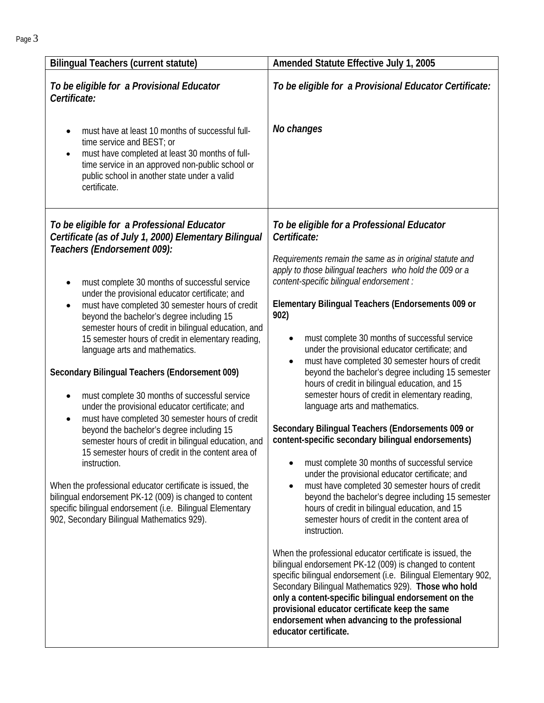| To be eligible for a Provisional Educator                                                                                                                                                                                                                                                                                                                                                                                                                                                                                                                                                                                                                                                                                                                                                                                                                                                                                                                                                                                                                                                                                                                 | To be eligible for a Provisional Educator Certificate:                                                                                                                                                                                                                                                                                                                                                                                                                                                                                                                                                                                                                                                                                                                                                                                                                                                                                                                                                                                                                                                                                                                                                                                                                                                                                                                                                                                                                                                                                  |
|-----------------------------------------------------------------------------------------------------------------------------------------------------------------------------------------------------------------------------------------------------------------------------------------------------------------------------------------------------------------------------------------------------------------------------------------------------------------------------------------------------------------------------------------------------------------------------------------------------------------------------------------------------------------------------------------------------------------------------------------------------------------------------------------------------------------------------------------------------------------------------------------------------------------------------------------------------------------------------------------------------------------------------------------------------------------------------------------------------------------------------------------------------------|-----------------------------------------------------------------------------------------------------------------------------------------------------------------------------------------------------------------------------------------------------------------------------------------------------------------------------------------------------------------------------------------------------------------------------------------------------------------------------------------------------------------------------------------------------------------------------------------------------------------------------------------------------------------------------------------------------------------------------------------------------------------------------------------------------------------------------------------------------------------------------------------------------------------------------------------------------------------------------------------------------------------------------------------------------------------------------------------------------------------------------------------------------------------------------------------------------------------------------------------------------------------------------------------------------------------------------------------------------------------------------------------------------------------------------------------------------------------------------------------------------------------------------------------|
| Certificate:                                                                                                                                                                                                                                                                                                                                                                                                                                                                                                                                                                                                                                                                                                                                                                                                                                                                                                                                                                                                                                                                                                                                              |                                                                                                                                                                                                                                                                                                                                                                                                                                                                                                                                                                                                                                                                                                                                                                                                                                                                                                                                                                                                                                                                                                                                                                                                                                                                                                                                                                                                                                                                                                                                         |
| must have at least 10 months of successful full-<br>$\bullet$<br>time service and BEST; or<br>must have completed at least 30 months of full-<br>$\bullet$<br>time service in an approved non-public school or<br>public school in another state under a valid<br>certificate.                                                                                                                                                                                                                                                                                                                                                                                                                                                                                                                                                                                                                                                                                                                                                                                                                                                                            | No changes                                                                                                                                                                                                                                                                                                                                                                                                                                                                                                                                                                                                                                                                                                                                                                                                                                                                                                                                                                                                                                                                                                                                                                                                                                                                                                                                                                                                                                                                                                                              |
| To be eligible for a Professional Educator<br>Certificate (as of July 1, 2000) Elementary Bilingual<br>Teachers (Endorsement 009):<br>must complete 30 months of successful service<br>٠<br>under the provisional educator certificate; and<br>must have completed 30 semester hours of credit<br>$\bullet$<br>902)<br>beyond the bachelor's degree including 15<br>semester hours of credit in bilingual education, and<br>15 semester hours of credit in elementary reading,<br>language arts and mathematics.<br>Secondary Bilingual Teachers (Endorsement 009)<br>must complete 30 months of successful service<br>٠<br>under the provisional educator certificate; and<br>must have completed 30 semester hours of credit<br>$\bullet$<br>beyond the bachelor's degree including 15<br>semester hours of credit in bilingual education, and<br>15 semester hours of credit in the content area of<br>instruction.<br>When the professional educator certificate is issued, the<br>bilingual endorsement PK-12 (009) is changed to content<br>specific bilingual endorsement (i.e. Bilingual Elementary<br>902, Secondary Bilingual Mathematics 929). | To be eligible for a Professional Educator<br>Certificate:<br>Requirements remain the same as in original statute and<br>apply to those bilingual teachers who hold the 009 or a<br>content-specific bilingual endorsement :<br>Elementary Bilingual Teachers (Endorsements 009 or<br>must complete 30 months of successful service<br>$\bullet$<br>under the provisional educator certificate; and<br>must have completed 30 semester hours of credit<br>beyond the bachelor's degree including 15 semester<br>hours of credit in bilingual education, and 15<br>semester hours of credit in elementary reading,<br>language arts and mathematics.<br>Secondary Bilingual Teachers (Endorsements 009 or<br>content-specific secondary bilingual endorsements)<br>must complete 30 months of successful service<br>under the provisional educator certificate; and<br>must have completed 30 semester hours of credit<br>beyond the bachelor's degree including 15 semester<br>hours of credit in bilingual education, and 15<br>semester hours of credit in the content area of<br>instruction.<br>When the professional educator certificate is issued, the<br>bilingual endorsement PK-12 (009) is changed to content<br>specific bilingual endorsement (i.e. Bilingual Elementary 902,<br>Secondary Bilingual Mathematics 929). Those who hold<br>only a content-specific bilingual endorsement on the<br>provisional educator certificate keep the same<br>endorsement when advancing to the professional<br>educator certificate. |